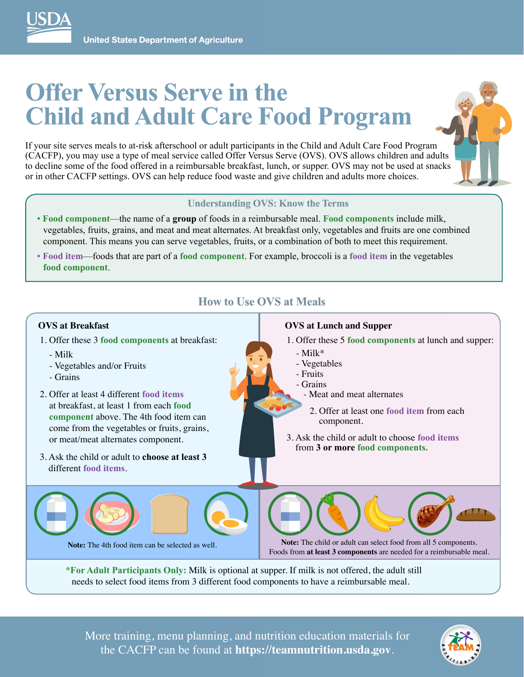

# **Offer Versus Serve in the Child and Adult Care Food Program**

If your site serves meals to at-risk afterschool or adult participants in the Child and Adult Care Food Program (CACFP), you may use a type of meal service called Offer Versus Serve (OVS). OVS allows children and adults to decline some of the food offered in a reimbursable breakfast, lunch, or supper. OVS may not be used at snacks or in other CACFP settings. OVS can help reduce food waste and give children and adults more choices.



#### **Understanding OVS: Know the Terms**

• **Food component**—the name of a **group** of foods in a reimbursable meal. **Food components** include milk, vegetables, fruits, grains, and meat and meat alternates. At breakfast only, vegetables and fruits are one combined component. This means you can serve vegetables, fruits, or a combination of both to meet this requirement.

**How to Use OVS at Meals**

• **Food item**—foods that are part of a **food component**. For example, broccoli is a **food item** in the vegetables **food component**.

## **OVS at Breakfast**

- 1. Offer these 3 **food components** at breakfast:
	- Milk
	- Vegetables and/or Fruits
	- Grains
- 2. Offer at least 4 different **food items** at breakfast, at least 1 from each **food component** above. The 4th food item can come from the vegetables or fruits, grains, or meat/meat alternates component.
- 3. Ask the child or adult to **choose at least 3** different **food items**.

### **OVS at Lunch and Supper**

- 1. Offer these 5 **food components** at lunch and supper:
	- Milk\*
	- Vegetables
	- Fruits
	- Grains
		- Meat and meat alternates
		- 2. Offer at least one food item from each component.
- 3. Ask the child or adult to choose **food items** from **3 or more food components.**

**Note:** The 4th food item can be selected as well.

**Note:** The child or adult can select food from all 5 components. Foods from **at least 3 components** are needed for a reimbursable meal.

**\*For Adult Participants Only:** Milk is optional at supper. If milk is not offered, the adult still needs to select food items from 3 different food components to have a reimbursable meal.